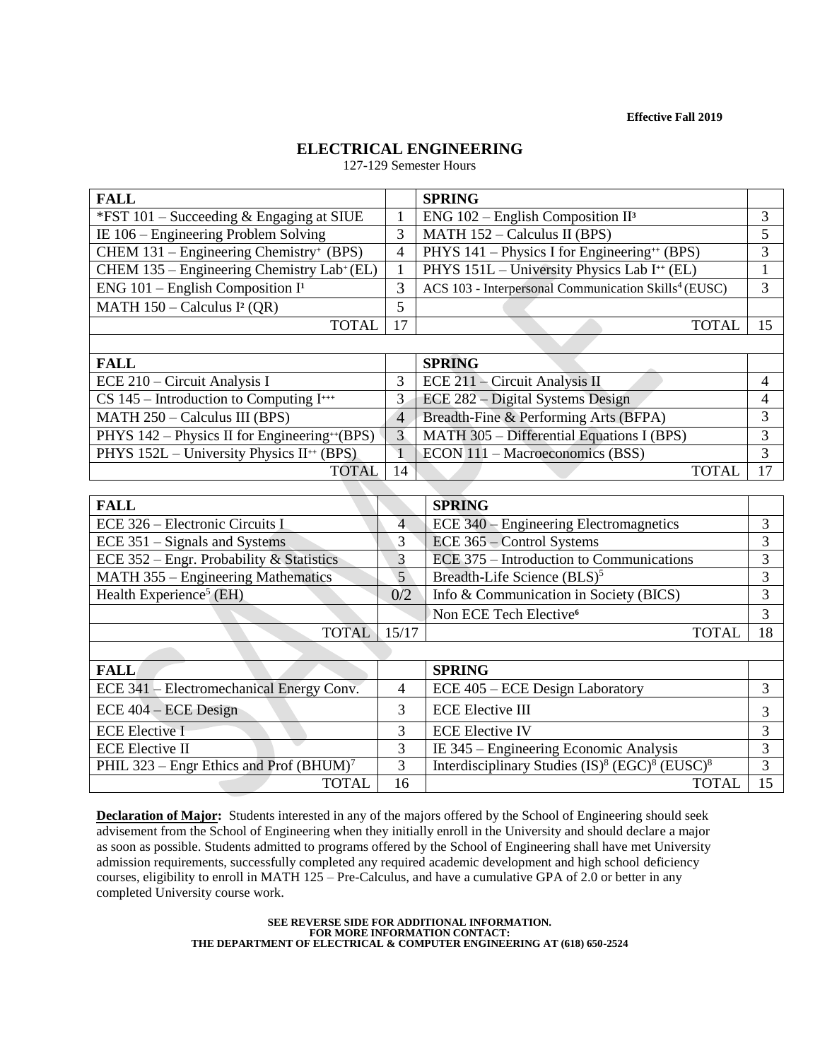**Effective Fall 2019**

# **ELECTRICAL ENGINEERING**

127-129 Semester Hours

| <b>FALL</b>                                           |                 | <b>SPRING</b>                                                                      |                 |
|-------------------------------------------------------|-----------------|------------------------------------------------------------------------------------|-----------------|
| *FST $101$ – Succeeding & Engaging at SIUE            | $\mathbf{1}$    | ENG $102$ – English Composition II <sup>3</sup>                                    | $\overline{3}$  |
| IE 106 – Engineering Problem Solving                  | 3               | MATH $152 -$ Calculus II (BPS)                                                     | $\overline{5}$  |
| CHEM $131$ – Engineering Chemistry <sup>+</sup> (BPS) | $\overline{4}$  | PHYS 141 - Physics I for Engineering <sup>++</sup> (BPS)                           | 3               |
| CHEM 135 - Engineering Chemistry Lab+ (EL)            | $\mathbf{1}$    | PHYS 151L - University Physics Lab I <sup>++</sup> (EL)                            | $\mathbf{1}$    |
| ENG $101$ – English Composition I <sup>1</sup>        | 3               | ACS 103 - Interpersonal Communication Skills <sup>4</sup> (EUSC)                   | 3               |
| MATH $150 -$ Calculus I <sup>2</sup> (QR)             | 5               |                                                                                    |                 |
| <b>TOTAL</b>                                          | 17              | <b>TOTAL</b>                                                                       | 15              |
|                                                       |                 |                                                                                    |                 |
| <b>FALL</b>                                           |                 | <b>SPRING</b>                                                                      |                 |
| ECE 210 – Circuit Analysis I                          | 3               | ECE $211$ – Circuit Analysis II                                                    | $\overline{4}$  |
| $CS$ 145 – Introduction to Computing I <sup>+++</sup> | 3               | ECE 282 – Digital Systems Design                                                   | $\overline{4}$  |
| MATH 250 - Calculus III (BPS)                         | $\overline{4}$  | Breadth-Fine & Performing Arts (BFPA)                                              | 3               |
| PHYS 142 - Physics II for Engineering**(BPS)          | $\overline{3}$  | MATH 305 - Differential Equations I (BPS)                                          | $\overline{3}$  |
| PHYS 152L - University Physics II <sup>++</sup> (BPS) | $\mathbf{1}$    | ECON 111 - Macroeconomics (BSS)                                                    | 3               |
| <b>TOTAL</b>                                          | 14              | <b>TOTAL</b>                                                                       | 17              |
|                                                       |                 |                                                                                    |                 |
| <b>FALL</b>                                           |                 | <b>SPRING</b>                                                                      |                 |
| ECE 326 – Electronic Circuits I                       | $\overline{4}$  | ECE 340 – Engineering Electromagnetics                                             | 3               |
| ECE 351 - Signals and Systems                         | 3               | ECE 365 - Control Systems                                                          | 3               |
| ECE 352 - Engr. Probability & Statistics              | 3               | ECE 375 – Introduction to Communications                                           | $\overline{3}$  |
| MATH 355 - Engineering Mathematics                    | $\overline{5}$  | Breadth-Life Science (BLS) <sup>5</sup>                                            | $\overline{3}$  |
| Health Experience <sup>5</sup> (EH)                   | 0/2             | Info & Communication in Society (BICS)                                             | 3               |
|                                                       |                 | Non ECE Tech Elective <sup>6</sup>                                                 | 3               |
| <b>TOTAL</b>                                          | 15/17           | <b>TOTAL</b>                                                                       | 18              |
|                                                       |                 |                                                                                    |                 |
| <b>FALL</b>                                           |                 | <b>SPRING</b>                                                                      |                 |
| ECE 341 - Electromechanical Energy Conv.              | $\overline{4}$  | ECE 405 – ECE Design Laboratory                                                    | 3               |
| $ECE$ 404 – $ECE$ Design                              | 3               | <b>ECE Elective III</b>                                                            | 3               |
| <b>ECE Elective I</b>                                 | 3               | <b>ECE Elective IV</b>                                                             | 3               |
| <b>ECE Elective II</b>                                | 3               | IE 345 – Engineering Economic Analysis                                             | 3               |
| PHIL 323 – Engr Ethics and Prof $(BHUM)^7$            | $\overline{3}$  | Interdisciplinary Studies (IS) <sup>8</sup> (EGC) <sup>8</sup> (EUSC) <sup>8</sup> | $\overline{3}$  |
| <b>TOTAL</b>                                          | $\overline{16}$ | <b>TOTAL</b>                                                                       | $\overline{15}$ |

**Declaration of Major:** Students interested in any of the majors offered by the School of Engineering should seek advisement from the School of Engineering when they initially enroll in the University and should declare a major as soon as possible. Students admitted to programs offered by the School of Engineering shall have met University admission requirements, successfully completed any required academic development and high school deficiency courses, eligibility to enroll in MATH 125 – Pre-Calculus, and have a cumulative GPA of 2.0 or better in any completed University course work.

> **SEE REVERSE SIDE FOR ADDITIONAL INFORMATION. FOR MORE INFORMATION CONTACT: THE DEPARTMENT OF ELECTRICAL & COMPUTER ENGINEERING AT (618) 650-2524**